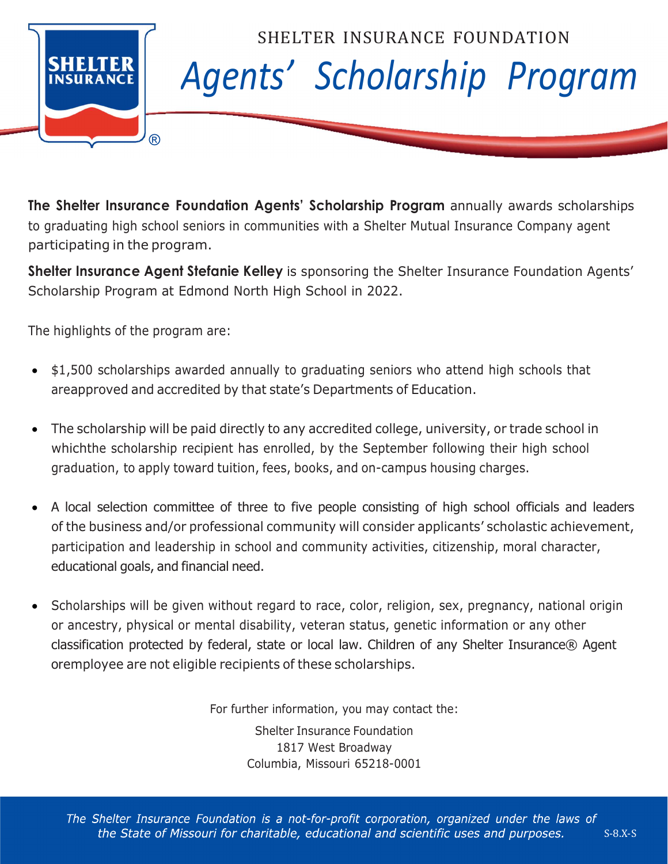

The Shelter Insurance Foundation Agents' Scholarship Program annually awards scholarships to graduating high school seniors in communities with a Shelter Mutual Insurance Company agent participating in the program.

Shelter Insurance Agent Stefanie Kelley is sponsoring the Shelter Insurance Foundation Agents' Scholarship Program at Edmond North High School in 2022.

The highlights of the program are:

- \$1,500 scholarships awarded annually to graduating seniors who attend high schools that are approved and accredited by that state's Departments of Education.
- The scholarship will be paid directly to any accredited college, university, or trade school in which the scholarship recipient has enrolled, by the September following their high school graduation, to apply toward tuition, fees, books, and on-campus housing charges.
- A local selection committee of three to five people consisting of high school officials and leaders of the business and/or professional community will consider applicants' scholastic achievement, participation and leadership in school and community activities, citizenship, moral character, educational goals, and financial need.
- Scholarships will be given without regard to race, color, religion, sex, pregnancy, national origin or ancestry, physical or mental disability, veteran status, genetic information or any other classification protected by federal, state or local law. Children of any Shelter Insurance® Agent or employee are not eligible recipients of these scholarships.

For further information, you may contact the:

Shelter Insurance Foundation 1817 West Broadway Columbia, Missouri 65218-0001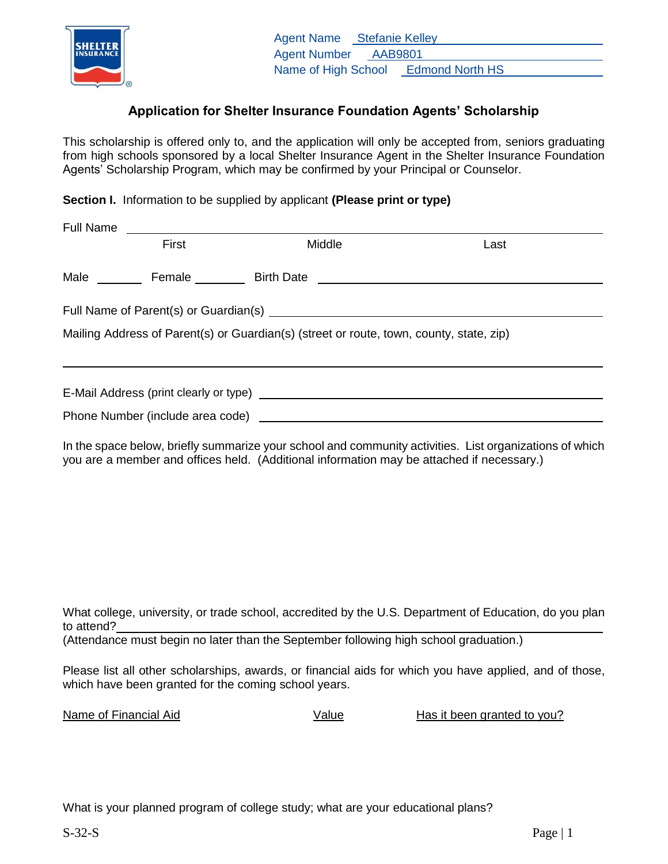

## **Application for Shelter Insurance Foundation Agents' Scholarship**

This scholarship is offered only to, and the application will only be accepted from, seniors graduating from high schools sponsored by a local Shelter Insurance Agent in the Shelter Insurance Foundation Agents' Scholarship Program, which may be confirmed by your Principal or Counselor.

**Section I.** Information to be supplied by applicant **(Please print or type)**

| <b>Full Name</b>                                                                        |       |  |        |      |  |  |
|-----------------------------------------------------------------------------------------|-------|--|--------|------|--|--|
|                                                                                         | First |  | Middle | Last |  |  |
|                                                                                         |       |  |        |      |  |  |
|                                                                                         |       |  |        |      |  |  |
| Mailing Address of Parent(s) or Guardian(s) (street or route, town, county, state, zip) |       |  |        |      |  |  |
|                                                                                         |       |  |        |      |  |  |
|                                                                                         |       |  |        |      |  |  |

In the space below, briefly summarize your school and community activities. List organizations of which you are a member and offices held. (Additional information may be attached if necessary.)

What college, university, or trade school, accredited by the U.S. Department of Education, do you plan to attend?

(Attendance must begin no later than the September following high school graduation.)

Please list all other scholarships, awards, or financial aids for which you have applied, and of those, which have been granted for the coming school years.

Name of Financial Aid **National State Communist Communist Communist Communist Communist Communist Communist Communist Communist Communist Communist Communist Communist Communist Communist Communist Communist Communist Comm** 

What is your planned program of college study; what are your educational plans?